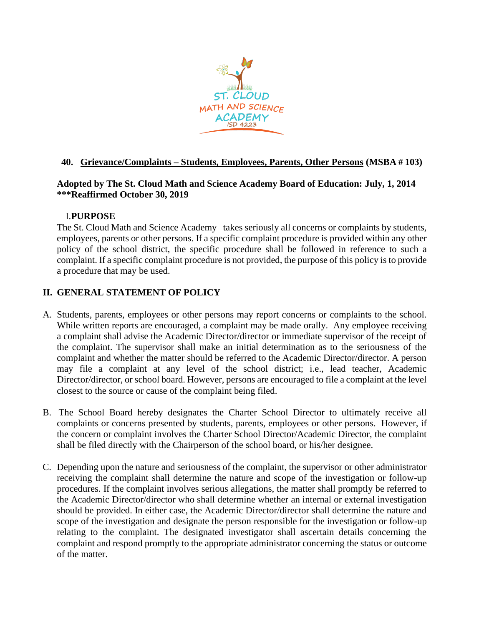

## **40. Grievance/Complaints – Students, Employees, Parents, Other Persons (MSBA # 103)**

### **Adopted by The St. Cloud Math and Science Academy Board of Education: July, 1, 2014 \*\*\*Reaffirmed October 30, 2019**

## I.**PURPOSE**

The St. Cloud Math and Science Academy takes seriously all concerns or complaints by students, employees, parents or other persons. If a specific complaint procedure is provided within any other policy of the school district, the specific procedure shall be followed in reference to such a complaint. If a specific complaint procedure is not provided, the purpose of this policy is to provide a procedure that may be used.

# **II. GENERAL STATEMENT OF POLICY**

- A. Students, parents, employees or other persons may report concerns or complaints to the school. While written reports are encouraged, a complaint may be made orally. Any employee receiving a complaint shall advise the Academic Director/director or immediate supervisor of the receipt of the complaint. The supervisor shall make an initial determination as to the seriousness of the complaint and whether the matter should be referred to the Academic Director/director. A person may file a complaint at any level of the school district; i.e., lead teacher, Academic Director/director, or school board. However, persons are encouraged to file a complaint at the level closest to the source or cause of the complaint being filed.
- B. The School Board hereby designates the Charter School Director to ultimately receive all complaints or concerns presented by students, parents, employees or other persons. However, if the concern or complaint involves the Charter School Director/Academic Director, the complaint shall be filed directly with the Chairperson of the school board, or his/her designee.
- C. Depending upon the nature and seriousness of the complaint, the supervisor or other administrator receiving the complaint shall determine the nature and scope of the investigation or follow-up procedures. If the complaint involves serious allegations, the matter shall promptly be referred to the Academic Director/director who shall determine whether an internal or external investigation should be provided. In either case, the Academic Director/director shall determine the nature and scope of the investigation and designate the person responsible for the investigation or follow-up relating to the complaint. The designated investigator shall ascertain details concerning the complaint and respond promptly to the appropriate administrator concerning the status or outcome of the matter.